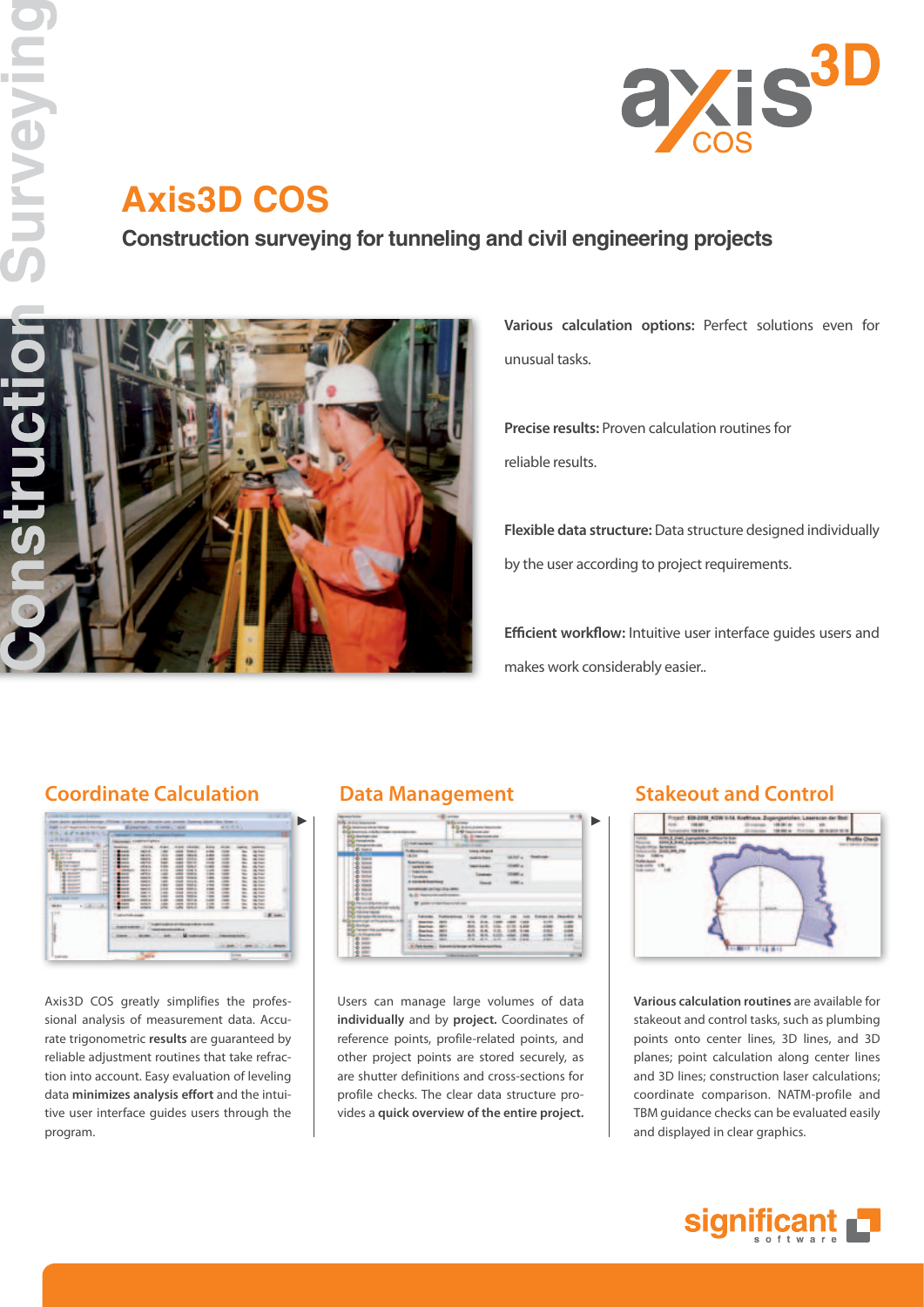

# **Axis3D COS**

**Construction surveying for tunneling and civil engineering projects**



**Various calculation options:** Perfect solutions even for unusual tasks.

**Precise results:** Proven calculation routines for reliable results.

**Flexible data structure:** Data structure designed individually by the user according to project requirements.

**Efficient workflow:** Intuitive user interface guides users and makes work considerably easier..

## **Coordinate Calculation Data Management Stakeout and Control**



Axis3D COS greatly simplifies the professional analysis of measurement data. Accurate trigonometric **results** are guaranteed by reliable adjustment routines that take refraction into account. Easy evaluation of leveling data **minimizes analysis effort** and the intuitive user interface guides users through the program.

| <b>W. Jim Resman</b><br><b>Bandalo and Contact United</b>          |                                                                                                                                              |                          |                         | 5). In study product from the |                    |               |             |                             |   |    |
|--------------------------------------------------------------------|----------------------------------------------------------------------------------------------------------------------------------------------|--------------------------|-------------------------|-------------------------------|--------------------|---------------|-------------|-----------------------------|---|----|
| <b>E GENERAL A R. PLAY DON'T THE RESIDENTS</b>                     |                                                                                                                                              |                          |                         | <b>All Graciation and</b>     |                    |               |             |                             |   |    |
| <b>Calendaruse</b>                                                 |                                                                                                                                              |                          |                         |                               | <b>Engineering</b> |               |             |                             |   |    |
| <b>Ca Honogkowsky</b><br><b><i><u>Alexandrian cald</u></i></b>     | (5 harmoniae)                                                                                                                                |                          |                         |                               |                    |               |             |                             |   |    |
| ogo<br><b>North Inc.</b>                                           | <b><i><u>Authorities</u></i></b><br><b>SALE</b><br><b><i><u>Statement</u></i></b><br><b>SURFACES</b><br><b>Sake Science</b><br>11 Taxmingham |                          | <b>Lease college ad</b> |                               |                    |               |             |                             |   |    |
|                                                                    |                                                                                                                                              |                          | <b>ARCHIVES</b>         |                               |                    |               |             | Like Sold La  . Three books |   |    |
|                                                                    |                                                                                                                                              |                          | ---                     |                               |                    | <b>HOME A</b> |             |                             |   |    |
|                                                                    |                                                                                                                                              |                          | <b>Longitude</b>        |                               |                    |               |             |                             |   |    |
|                                                                    |                                                                                                                                              |                          |                         |                               |                    | <b>HARLY</b>  |             |                             |   |    |
|                                                                    | <b>A DISPLAYER ROOM FINALS</b>                                                                                                               |                          |                         |                               |                    | <b>DOM: 4</b> |             |                             |   |    |
|                                                                    | bonderings perhaps this editor                                                                                                               |                          |                         |                               |                    |               |             |                             |   |    |
|                                                                    | A Maintenancement                                                                                                                            |                          |                         |                               |                    |               |             |                             |   |    |
|                                                                    | M. also concrete contact                                                                                                                     |                          |                         |                               |                    |               |             |                             |   |    |
|                                                                    |                                                                                                                                              | <b>Supportered</b>       | 734                     |                               |                    |               |             | <b>Brodown Inc.</b>         |   |    |
| hanger are his operationals                                        |                                                                                                                                              |                          |                         |                               |                    |               |             |                             |   |    |
| <b>To Auction</b><br><b>COLOR AND STATE CARDS CARD FOR THE ANN</b> |                                                                                                                                              |                          |                         |                               |                    |               |             |                             |   |    |
| <b>Call of Programmer</b>                                          |                                                                                                                                              | $-$<br>۰                 |                         |                               |                    |               |             |                             |   |    |
|                                                                    |                                                                                                                                              |                          |                         | 24.45                         | $-44.76$           |               | LONG. Jules | ۰                           | ۰ |    |
|                                                                    | . It Fed testes . Interest to be an interest partners.                                                                                       |                          |                         |                               |                    |               |             |                             |   |    |
| 8年                                                                 |                                                                                                                                              | <b>THRACKAR AN ANTIF</b> |                         |                               |                    |               |             |                             |   | -- |

Users can manage large volumes of data **individually** and by **project.** Coordinates of reference points, profile-related points, and other project points are stored securely, as are shutter definitions and cross-sections for profile checks. The clear data structure provides a **quick overview of the entire project.**



**Various calculation routines** are available for stakeout and control tasks, such as plumbing points onto center lines, 3D lines, and 3D planes; point calculation along center lines and 3D lines; construction laser calculations; coordinate comparison. NATM-profile and TBM guidance checks can be evaluated easily and displayed in clear graphics.